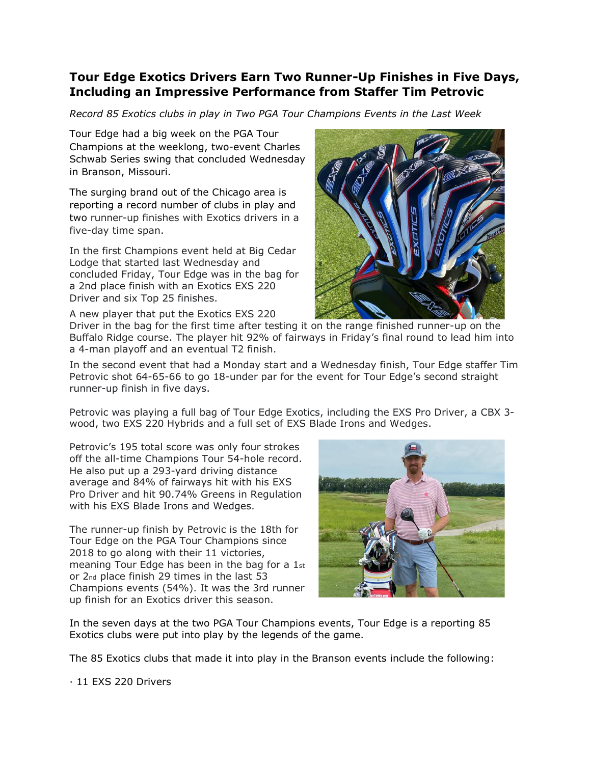## **Tour Edge Exotics Drivers Earn Two Runner-Up Finishes in Five Days, Including an Impressive Performance from Staffer Tim Petrovic**

*Record 85 Exotics clubs in play in Two PGA Tour Champions Events in the Last Week*

Tour Edge had a big week on the PGA Tour Champions at the weeklong, two-event Charles Schwab Series swing that concluded Wednesday in Branson, Missouri.

The surging brand out of the Chicago area is reporting a record number of clubs in play and two runner-up finishes with Exotics drivers in a five-day time span.

In the first Champions event held at Big Cedar Lodge that started last Wednesday and concluded Friday, Tour Edge was in the bag for a 2nd place finish with an Exotics EXS 220 Driver and six Top 25 finishes.

A new player that put the Exotics EXS 220



Driver in the bag for the first time after testing it on the range finished runner-up on the Buffalo Ridge course. The player hit 92% of fairways in Friday's final round to lead him into a 4-man playoff and an eventual T2 finish.

In the second event that had a Monday start and a Wednesday finish, Tour Edge staffer Tim Petrovic shot 64-65-66 to go 18-under par for the event for Tour Edge's second straight runner-up finish in five days.

Petrovic was playing a full bag of Tour Edge Exotics, including the EXS Pro Driver, a CBX 3 wood, two EXS 220 Hybrids and a full set of EXS Blade Irons and Wedges.

Petrovic's 195 total score was only four strokes off the all-time Champions Tour 54-hole record. He also put up a 293-yard driving distance average and 84% of fairways hit with his EXS Pro Driver and hit 90.74% Greens in Regulation with his EXS Blade Irons and Wedges.

The runner-up finish by Petrovic is the 18th for Tour Edge on the PGA Tour Champions since 2018 to go along with their 11 victories, meaning Tour Edge has been in the bag for a 1st or 2nd place finish 29 times in the last 53 Champions events (54%). It was the 3rd runner up finish for an Exotics driver this season.



In the seven days at the two PGA Tour Champions events, Tour Edge is a reporting 85 Exotics clubs were put into play by the legends of the game.

The 85 Exotics clubs that made it into play in the Branson events include the following:

· 11 EXS 220 Drivers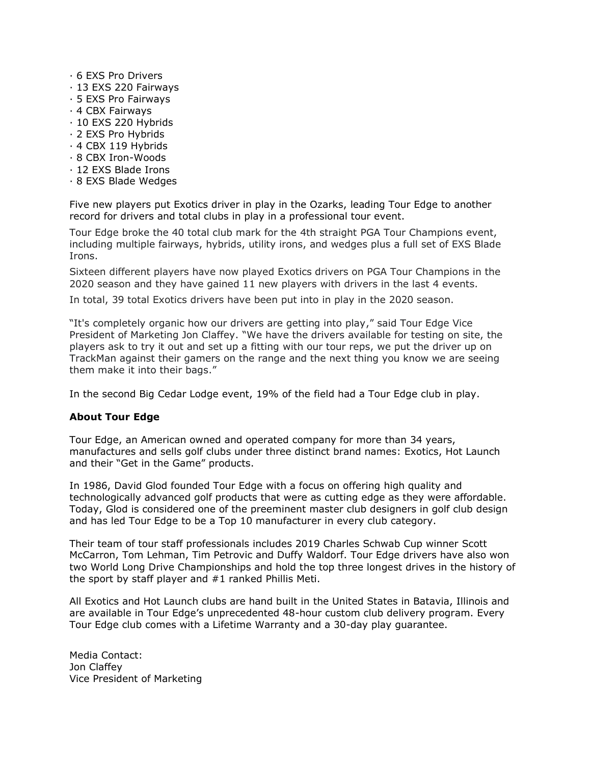- · 6 EXS Pro Drivers
- · 13 EXS 220 Fairways
- · 5 EXS Pro Fairways
- · 4 CBX Fairways
- · 10 EXS 220 Hybrids
- · 2 EXS Pro Hybrids
- · 4 CBX 119 Hybrids
- · 8 CBX Iron-Woods
- · 12 EXS Blade Irons
- · 8 EXS Blade Wedges

Five new players put Exotics driver in play in the Ozarks, leading Tour Edge to another record for drivers and total clubs in play in a professional tour event.

Tour Edge broke the 40 total club mark for the 4th straight PGA Tour Champions event, including multiple fairways, hybrids, utility irons, and wedges plus a full set of EXS Blade Irons.

Sixteen different players have now played Exotics drivers on PGA Tour Champions in the 2020 season and they have gained 11 new players with drivers in the last 4 events.

In total, 39 total Exotics drivers have been put into in play in the 2020 season.

"It's completely organic how our drivers are getting into play," said Tour Edge Vice President of Marketing Jon Claffey. "We have the drivers available for testing on site, the players ask to try it out and set up a fitting with our tour reps, we put the driver up on TrackMan against their gamers on the range and the next thing you know we are seeing them make it into their bags."

In the second Big Cedar Lodge event, 19% of the field had a Tour Edge club in play.

## **About Tour Edge**

Tour Edge, an American owned and operated company for more than 34 years, manufactures and sells golf clubs under three distinct brand names: Exotics, Hot Launch and their "Get in the Game" products.

In 1986, David Glod founded Tour Edge with a focus on offering high quality and technologically advanced golf products that were as cutting edge as they were affordable. Today, Glod is considered one of the preeminent master club designers in golf club design and has led Tour Edge to be a Top 10 manufacturer in every club category.

Their team of tour staff professionals includes 2019 Charles Schwab Cup winner Scott McCarron, Tom Lehman, Tim Petrovic and Duffy Waldorf. Tour Edge drivers have also won two World Long Drive Championships and hold the top three longest drives in the history of the sport by staff player and #1 ranked Phillis Meti.

All Exotics and Hot Launch clubs are hand built in the United States in Batavia, Illinois and are available in Tour Edge's unprecedented 48-hour custom club delivery program. Every Tour Edge club comes with a Lifetime Warranty and a 30-day play guarantee.

Media Contact: Jon Claffey Vice President of Marketing